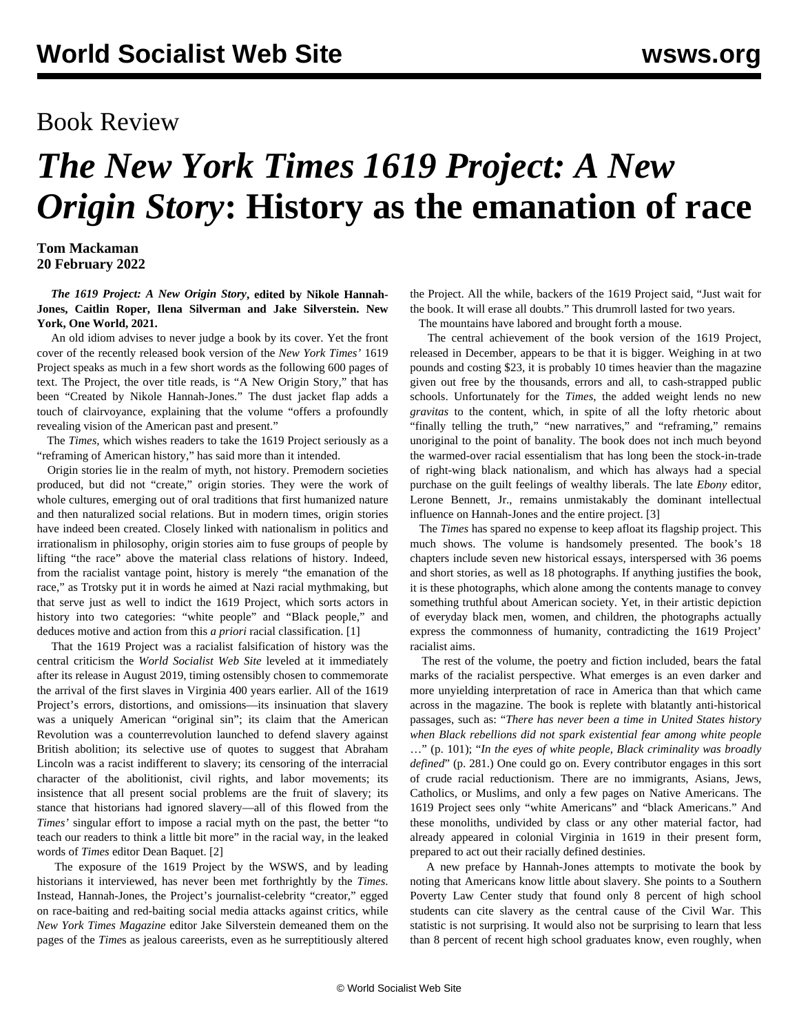## Book Review

## *The New York Times 1619 Project: A New Origin Story***: History as the emanation of race**

## **Tom Mackaman 20 February 2022**

 *The 1619 Project: A New Origin Story***, edited by Nikole Hannah-Jones, Caitlin Roper, Ilena Silverman and Jake Silverstein. New York, One World, 2021.**

 An old idiom advises to never judge a book by its cover. Yet the front cover of the recently released book version of the *New York Times'* 1619 Project speaks as much in a few short words as the following 600 pages of text. The Project, the over title reads, is "A New Origin Story," that has been "Created by Nikole Hannah-Jones." The dust jacket flap adds a touch of clairvoyance, explaining that the volume "offers a profoundly revealing vision of the American past and present."

 The *Times*, which wishes readers to take the 1619 Project seriously as a "reframing of American history," has said more than it intended.

 Origin stories lie in the realm of myth, not history. Premodern societies produced, but did not "create," origin stories. They were the work of whole cultures, emerging out of oral traditions that first humanized nature and then naturalized social relations. But in modern times, origin stories have indeed been created. Closely linked with nationalism in politics and irrationalism in philosophy, origin stories aim to fuse groups of people by lifting "the race" above the material class relations of history. Indeed, from the racialist vantage point, history is merely "the emanation of the race," as Trotsky put it in words he aimed at Nazi racial mythmaking, but that serve just as well to indict the 1619 Project, which sorts actors in history into two categories: "white people" and "Black people," and deduces motive and action from this *a priori* racial classification. [1]

 That the 1619 Project was a racialist falsification of history was the central criticism the *World Socialist Web Site* leveled at it immediately after its release in August 2019, timing ostensibly chosen to commemorate the arrival of the first slaves in Virginia 400 years earlier. All of the 1619 Project's errors, distortions, and omissions—its insinuation that slavery was a uniquely American "original sin"; its claim that the American Revolution was a counterrevolution launched to defend slavery against British abolition; its selective use of quotes to suggest that Abraham Lincoln was a racist indifferent to slavery; its censoring of the interracial character of the abolitionist, civil rights, and labor movements; its insistence that all present social problems are the fruit of slavery; its stance that historians had ignored slavery—all of this flowed from the *Times'* singular effort to impose a racial myth on the past, the better "to teach our readers to think a little bit more" in the racial way, in the leaked words of *Times* editor Dean Baquet. [2]

 The exposure of the 1619 Project by the WSWS, and by leading historians it interviewed, has never been met forthrightly by the *Times*. Instead, Hannah-Jones, the Project's journalist-celebrity "creator," egged on race-baiting and red-baiting social media attacks against critics, while *New York Times Magazine* editor Jake Silverstein demeaned them on the pages of the *Time*s as jealous careerists, even as he surreptitiously [altered](/en/articles/2020/10/23/1619-o23.html) the Project. All the while, backers of the 1619 Project said, "Just wait for the book. It will erase all doubts." This drumroll lasted for two years.

The mountains have labored and brought forth a mouse.

 The central achievement of the book version of the 1619 Project, released in December, appears to be that it is bigger. Weighing in at two pounds and costing \$23, it is probably 10 times heavier than the magazine given out free by the thousands, errors and all, to cash-strapped public schools. Unfortunately for the *Times*, the added weight lends no new *gravitas* to the content, which, in spite of all the lofty rhetoric about "finally telling the truth," "new narratives," and "reframing," remains unoriginal to the point of banality. The book does not inch much beyond the warmed-over racial essentialism that has long been the stock-in-trade of right-wing black nationalism, and which has always had a special purchase on the guilt feelings of wealthy liberals. The late *Ebony* editor, Lerone Bennett, Jr., remains unmistakably the dominant intellectual influence on Hannah-Jones and the entire project. [3]

 The *Times* has spared no expense to keep afloat its flagship project. This much shows. The volume is handsomely presented. The book's 18 chapters include seven new historical essays, interspersed with 36 poems and short stories, as well as 18 photographs. If anything justifies the book, it is these photographs, which alone among the contents manage to convey something truthful about American society. Yet, in their artistic depiction of everyday black men, women, and children, the photographs actually express the commonness of humanity, contradicting the 1619 Project' racialist aims.

 The rest of the volume, the poetry and fiction included, bears the fatal marks of the racialist perspective. What emerges is an even darker and more unyielding interpretation of race in America than that which came across in the magazine. The book is replete with blatantly anti-historical passages, such as: "*There has never been a time in United States history when Black rebellions did not spark existential fear among white people* …" (p. 101); "*In the eyes of white people, Black criminality was broadly defined*" (p. 281.) One could go on. Every contributor engages in this sort of crude racial reductionism. There are no immigrants, Asians, Jews, Catholics, or Muslims, and only a few pages on Native Americans. The 1619 Project sees only "white Americans" and "black Americans." And these monoliths, undivided by class or any other material factor, had already appeared in colonial Virginia in 1619 in their present form, prepared to act out their racially defined destinies.

 A new preface by Hannah-Jones attempts to motivate the book by noting that Americans know little about slavery. She points to a Southern Poverty Law Center study that found only 8 percent of high school students can cite slavery as the central cause of the Civil War. This statistic is not surprising. It would also not be surprising to learn that less than 8 percent of recent high school graduates know, even roughly, when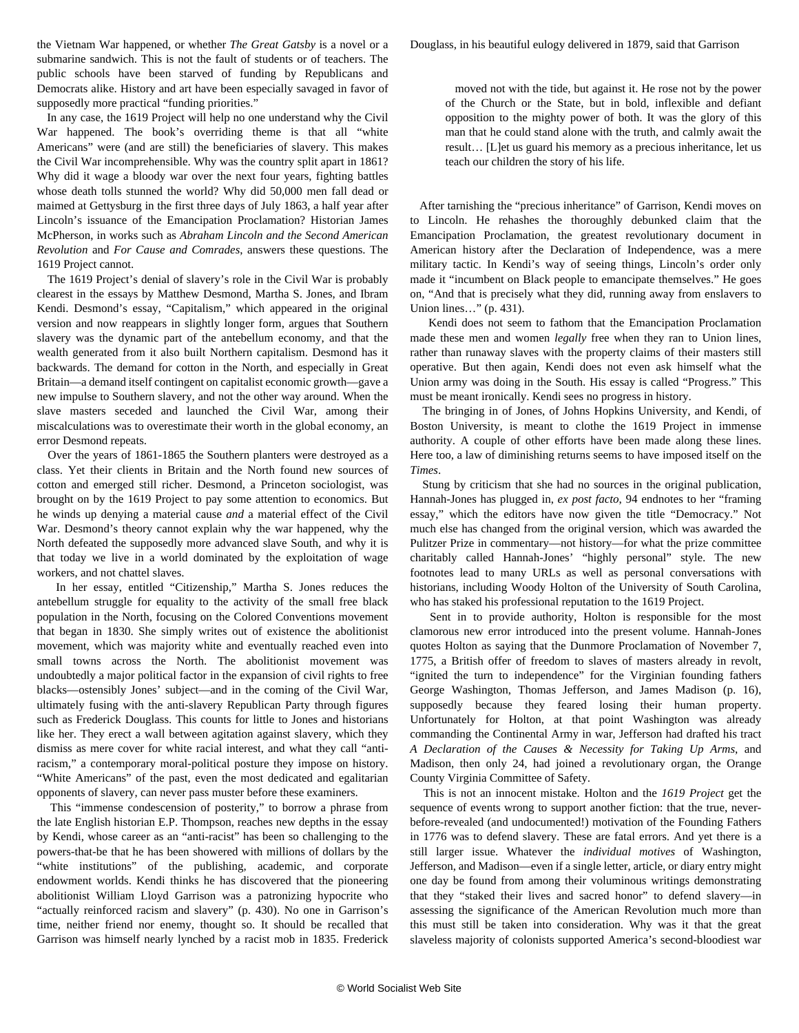the Vietnam War happened, or whether *The Great Gatsby* is a novel or a submarine sandwich. This is not the fault of students or of teachers. The public schools have been starved of funding by Republicans and Democrats alike. History and art have been especially savaged in favor of supposedly more practical "funding priorities."

 In any case, the 1619 Project will help no one understand why the Civil War happened. The book's overriding theme is that all "white Americans" were (and are still) the beneficiaries of slavery. This makes the Civil War incomprehensible. Why was the country split apart in 1861? Why did it wage a bloody war over the next four years, fighting battles whose death tolls stunned the world? Why did 50,000 men fall dead or maimed at Gettysburg in the first three days of July 1863, a half year after Lincoln's issuance of the Emancipation Proclamation? Historian James McPherson, in works such as *Abraham Lincoln and the Second American Revolution* and *For Cause and Comrades*, answers these questions. The 1619 Project cannot.

 The 1619 Project's denial of slavery's role in the Civil War is probably clearest in the essays by Matthew Desmond, Martha S. Jones, and Ibram Kendi. Desmond's essay, "Capitalism," which appeared in the original version and now reappears in slightly longer form, argues that Southern slavery was the dynamic part of the antebellum economy, and that the wealth generated from it also built Northern capitalism. Desmond has it backwards. The demand for cotton in the North, and especially in Great Britain—a demand itself contingent on capitalist economic growth—gave a new impulse to Southern slavery, and not the other way around. When the slave masters seceded and launched the Civil War, among their miscalculations was to overestimate their worth in the global economy, an error Desmond repeats.

 Over the years of 1861-1865 the Southern planters were destroyed as a class. Yet their clients in Britain and the North found new sources of cotton and emerged still richer. Desmond, a Princeton sociologist, was brought on by the 1619 Project to pay some attention to economics. But he winds up denying a material cause *and* a material effect of the Civil War. Desmond's theory cannot explain why the war happened, why the North defeated the supposedly more advanced slave South, and why it is that today we live in a world dominated by the exploitation of wage workers, and not chattel slaves.

 In her essay, entitled "Citizenship," Martha S. Jones reduces the antebellum struggle for equality to the activity of the small free black population in the North, focusing on the Colored Conventions movement that began in 1830. She simply writes out of existence the abolitionist movement, which was majority white and eventually reached even into small towns across the North. The abolitionist movement was undoubtedly a major political factor in the expansion of civil rights to free blacks—ostensibly Jones' subject—and in the coming of the Civil War, ultimately fusing with the anti-slavery Republican Party through figures such as Frederick Douglass. This counts for little to Jones and historians like her. They erect a wall between agitation against slavery, which they dismiss as mere cover for white racial interest, and what they call "antiracism," a contemporary moral-political posture they impose on history. "White Americans" of the past, even the most dedicated and egalitarian opponents of slavery, can never pass muster before these examiners.

 This "immense condescension of posterity," to borrow a phrase from the late English historian E.P. Thompson, reaches new depths in the essay by Kendi, whose career as an "anti-racist" has been so challenging to the powers-that-be that he has been showered with millions of dollars by the "white institutions" of the publishing, academic, and corporate endowment worlds. Kendi thinks he has discovered that the pioneering abolitionist William Lloyd Garrison was a patronizing hypocrite who "actually reinforced racism and slavery" (p. 430). No one in Garrison's time, neither friend nor enemy, thought so. It should be recalled that Garrison was himself nearly lynched by a racist mob in 1835. Frederick

 moved not with the tide, but against it. He rose not by the power of the Church or the State, but in bold, inflexible and defiant opposition to the mighty power of both. It was the glory of this man that he could stand alone with the truth, and calmly await the result… [L]et us guard his memory as a precious inheritance, let us teach our children the story of his life.

 After tarnishing the "precious inheritance" of Garrison, Kendi moves on to Lincoln. He rehashes the thoroughly debunked claim that the Emancipation Proclamation, the greatest revolutionary document in American history after the Declaration of Independence, was a mere military tactic. In Kendi's way of seeing things, Lincoln's order only made it "incumbent on Black people to emancipate themselves." He goes on, "And that is precisely what they did, running away from enslavers to Union lines…" (p. 431).

 Kendi does not seem to fathom that the Emancipation Proclamation made these men and women *legally* free when they ran to Union lines, rather than runaway slaves with the property claims of their masters still operative. But then again, Kendi does not even ask himself what the Union army was doing in the South. His essay is called "Progress." This must be meant ironically. Kendi sees no progress in history.

 The bringing in of Jones, of Johns Hopkins University, and Kendi, of Boston University, is meant to clothe the 1619 Project in immense authority. A couple of other efforts have been made along these lines. Here too, a law of diminishing returns seems to have imposed itself on the *Times*.

 Stung by criticism that she had no sources in the original publication, Hannah-Jones has plugged in, *ex post facto*, 94 endnotes to her "framing essay," which the editors have now given the title "Democracy." Not much else has changed from the original version, which was awarded the Pulitzer Prize in commentary—not history—for what the prize committee charitably called Hannah-Jones' "highly personal" style. The new footnotes lead to many URLs as well as personal conversations with historians, including Woody Holton of the University of South Carolina, who has staked his professional reputation to the 1619 Project.

 Sent in to provide authority, Holton is responsible for the most clamorous new error introduced into the present volume. Hannah-Jones quotes Holton as saying that the Dunmore Proclamation of November 7, 1775, a British offer of freedom to slaves of masters already in revolt, "ignited the turn to independence" for the Virginian founding fathers George Washington, Thomas Jefferson, and James Madison (p. 16), supposedly because they feared losing their human property. Unfortunately for Holton, at that point Washington was already commanding the Continental Army in war, Jefferson had drafted his tract *A Declaration of the Causes & Necessity for Taking Up Arms*, and Madison, then only 24, had joined a revolutionary organ, the Orange County Virginia Committee of Safety.

 This is not an innocent mistake. Holton and the *1619 Project* get the sequence of events wrong to support another fiction: that the true, neverbefore-revealed (and undocumented!) motivation of the Founding Fathers in 1776 was to defend slavery. These are fatal errors. And yet there is a still larger issue. Whatever the *individual motives* of Washington, Jefferson, and Madison—even if a single letter, article, or diary entry might one day be found from among their voluminous writings demonstrating that they "staked their lives and sacred honor" to defend slavery—in assessing the significance of the American Revolution much more than this must still be taken into consideration. Why was it that the great slaveless majority of colonists supported America's second-bloodiest war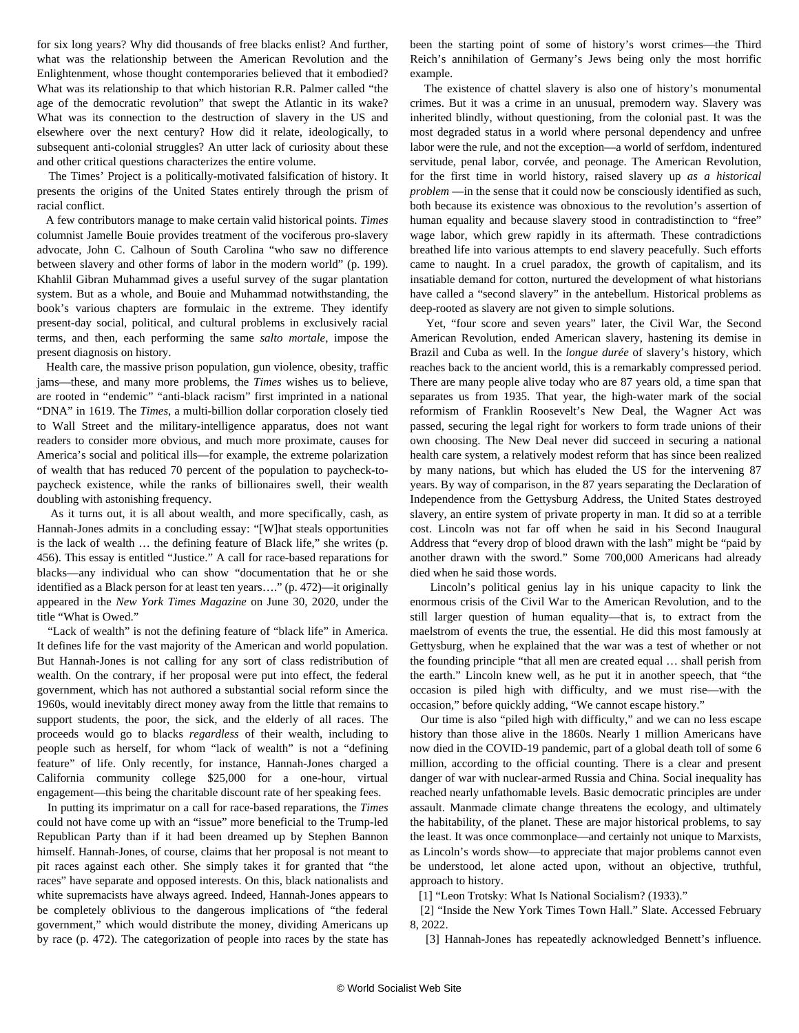for six long years? Why did thousands of free blacks enlist? And further, what was the relationship between the American Revolution and the Enlightenment, whose thought contemporaries believed that it embodied? What was its relationship to that which historian R.R. Palmer called "the age of the democratic revolution" that swept the Atlantic in its wake? What was its connection to the destruction of slavery in the US and elsewhere over the next century? How did it relate, ideologically, to subsequent anti-colonial struggles? An utter lack of curiosity about these and other critical questions characterizes the entire volume.

 The Times' Project is a politically-motivated falsification of history. It presents the origins of the United States entirely through the prism of racial conflict.

 A few contributors manage to make certain valid historical points. *Times* columnist Jamelle Bouie provides treatment of the vociferous pro-slavery advocate, John C. Calhoun of South Carolina "who saw no difference between slavery and other forms of labor in the modern world" (p. 199). Khahlil Gibran Muhammad gives a useful survey of the sugar plantation system. But as a whole, and Bouie and Muhammad notwithstanding, the book's various chapters are formulaic in the extreme. They identify present-day social, political, and cultural problems in exclusively racial terms, and then, each performing the same *salto mortale*, impose the present diagnosis on history.

 Health care, the massive prison population, gun violence, obesity, traffic jams—these, and many more problems, the *Times* wishes us to believe, are rooted in "endemic" "anti-black racism" first imprinted in a national "DNA" in 1619. The *Times*, a multi-billion dollar corporation closely tied to Wall Street and the military-intelligence apparatus, does not want readers to consider more obvious, and much more proximate, causes for America's social and political ills—for example, the extreme polarization of wealth that has reduced 70 percent of the population to paycheck-topaycheck existence, while the ranks of billionaires swell, their wealth doubling with astonishing frequency.

 As it turns out, it is all about wealth, and more specifically, cash, as Hannah-Jones admits in a concluding essay: "[W]hat steals opportunities is the lack of wealth … the defining feature of Black life," she writes (p. 456). This essay is entitled "Justice." A call for race-based reparations for blacks—any individual who can show "documentation that he or she identified as a Black person for at least ten years…." (p. 472)—it originally appeared in the *New York Times Magazine* on June 30, 2020, under the title "What is Owed."

 "Lack of wealth" is not the defining feature of "black life" in America. It defines life for the vast majority of the American and world population. But Hannah-Jones is not calling for any sort of class redistribution of wealth. On the contrary, if her proposal were put into effect, the federal government, which has not authored a substantial social reform since the 1960s, would inevitably direct money away from the little that remains to support students, the poor, the sick, and the elderly of all races. The proceeds would go to blacks *regardless* of their wealth, including to people such as herself, for whom "lack of wealth" is not a "defining feature" of life. Only recently, for instance, Hannah-Jones charged a California community college \$25,000 for a one-hour, virtual engagement—this being the charitable discount rate of her speaking fees.

 In putting its imprimatur on a call for race-based reparations, the *Times* could not have come up with an "issue" more beneficial to the Trump-led Republican Party than if it had been dreamed up by Stephen Bannon himself. Hannah-Jones, of course, claims that her proposal is not meant to pit races against each other. She simply takes it for granted that "the races" have separate and opposed interests. On this, black nationalists and white supremacists have always agreed. Indeed, Hannah-Jones appears to be completely oblivious to the dangerous implications of "the federal government," which would distribute the money, dividing Americans up by race (p. 472). The categorization of people into races by the state has

been the starting point of some of history's worst crimes—the Third Reich's annihilation of Germany's Jews being only the most horrific example.

 The existence of chattel slavery is also one of history's monumental crimes. But it was a crime in an unusual, premodern way. Slavery was inherited blindly, without questioning, from the colonial past. It was the most degraded status in a world where personal dependency and unfree labor were the rule, and not the exception—a world of serfdom, indentured servitude, penal labor, corvée, and peonage. The American Revolution, for the first time in world history, raised slavery up *as a historical problem* —in the sense that it could now be consciously identified as such, both because its existence was obnoxious to the revolution's assertion of human equality and because slavery stood in contradistinction to "free" wage labor, which grew rapidly in its aftermath. These contradictions breathed life into various attempts to end slavery peacefully. Such efforts came to naught. In a cruel paradox, the growth of capitalism, and its insatiable demand for cotton, nurtured the development of what historians have called a "second slavery" in the antebellum. Historical problems as deep-rooted as slavery are not given to simple solutions.

 Yet, "four score and seven years" later, the Civil War, the Second American Revolution, ended American slavery, hastening its demise in Brazil and Cuba as well. In the *longue durée* of slavery's history, which reaches back to the ancient world, this is a remarkably compressed period. There are many people alive today who are 87 years old, a time span that separates us from 1935. That year, the high-water mark of the social reformism of Franklin Roosevelt's New Deal, the Wagner Act was passed, securing the legal right for workers to form trade unions of their own choosing. The New Deal never did succeed in securing a national health care system, a relatively modest reform that has since been realized by many nations, but which has eluded the US for the intervening 87 years. By way of comparison, in the 87 years separating the Declaration of Independence from the Gettysburg Address, the United States destroyed slavery, an entire system of private property in man. It did so at a terrible cost. Lincoln was not far off when he said in his Second Inaugural Address that "every drop of blood drawn with the lash" might be "paid by another drawn with the sword." Some 700,000 Americans had already died when he said those words.

 Lincoln's political genius lay in his unique capacity to link the enormous crisis of the Civil War to the American Revolution, and to the still larger question of human equality—that is, to extract from the maelstrom of events the true, the essential. He did this most famously at Gettysburg, when he explained that the war was a test of whether or not the founding principle "that all men are created equal … shall perish from the earth." Lincoln knew well, as he put it in another speech, that "the occasion is piled high with difficulty, and we must rise—with the occasion," before quickly adding, "We cannot escape history."

 Our time is also "piled high with difficulty," and we can no less escape history than those alive in the 1860s. Nearly 1 million Americans have now died in the COVID-19 pandemic, part of a global death toll of some 6 million, according to the official counting. There is a clear and present danger of war with nuclear-armed Russia and China. Social inequality has reached nearly unfathomable levels. Basic democratic principles are under assault. Manmade climate change threatens the ecology, and ultimately the habitability, of the planet. These are major historical problems, to say the least. It was once commonplace—and certainly not unique to Marxists, as Lincoln's words show—to appreciate that major problems cannot even be understood, let alone acted upon, without an objective, truthful, approach to history.

[1] "Leon Trotsky: [What Is National Socialism?](https://www.marxists.org/archive/trotsky/germany/1933/330610.htm) (1933)."

 [2] ["Inside the New York Times Town Hall.](https://slate.com/news-and-politics/2019/08/new-york-times-meeting-transcript.html)" Slate. Accessed February 8, 2022.

[3] Hannah-Jones has repeatedly acknowledged Bennett's influence.